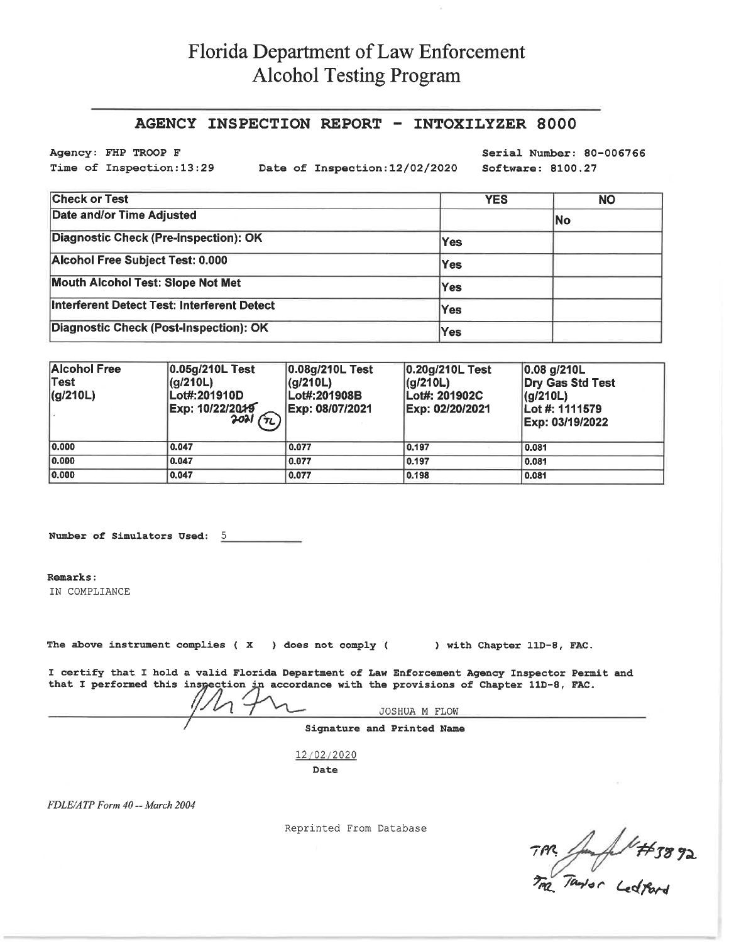## Florida Department of Law Enforcement **Alcohol Testing Program**

## AGENCY INSPECTION REPORT - INTOXILYZER 8000

Agency: FHP TROOP F Time of Inspection:13:29

Date of Inspection: 12/02/2020

Serial Number: 80-006766 Software: 8100.27

| <b>Check or Test</b>                        | <b>YES</b> | <b>NO</b> |
|---------------------------------------------|------------|-----------|
| Date and/or Time Adjusted                   |            | No        |
| Diagnostic Check (Pre-Inspection): OK       | <b>Yes</b> |           |
| Alcohol Free Subject Test: 0.000            | Yes        |           |
| <b>Mouth Alcohol Test: Slope Not Met</b>    | Yes        |           |
| Interferent Detect Test: Interferent Detect | Yes        |           |
| Diagnostic Check (Post-Inspection): OK      | Yes        |           |

| <b>Alcohol Free</b><br> Test<br> (g/210L) | 0.05g/210L Test<br>(q/210L)<br>Lot#:201910D<br>Exp: 10/22/2019<br>$2021(T_1)$ | 0.08g/210L Test<br> (q/210L) <br>Lot#:201908B<br>Exp: 08/07/2021 | 0.20g/210L Test<br>(g/210L)<br>Lot#: 201902C<br>Exp: 02/20/2021 | $ 0.08 $ g/210L<br>Dry Gas Std Test<br>(q/210L)<br>Lot #: 1111579<br>Exp: 03/19/2022 |
|-------------------------------------------|-------------------------------------------------------------------------------|------------------------------------------------------------------|-----------------------------------------------------------------|--------------------------------------------------------------------------------------|
| 0.000                                     | 0.047                                                                         | 0.077                                                            | 0.197                                                           | 0.081                                                                                |
| 0.000                                     | 0.047                                                                         | 0.077                                                            | 0.197                                                           | 0.081                                                                                |
| 0.000                                     | 0.047                                                                         | 0.077                                                            | 0.198                                                           | 0.081                                                                                |

Number of Simulators Used: 5

Remarks:

IN COMPLIANCE

The above instrument complies ( $X$ ) does not comply ( ) with Chapter 11D-8, FAC.

I certify that I hold a valid Florida Department of Law Enforcement Agency Inspector Permit and that I performed this inspection in accordance with the provisions of Chapter 11D-8, FAC.

JOSHUA M FLOW Signature and Printed Name

12/02/2020 Date

FDLE/ATP Form 40 -- March 2004

Reprinted From Database

TPR Jump ##3892